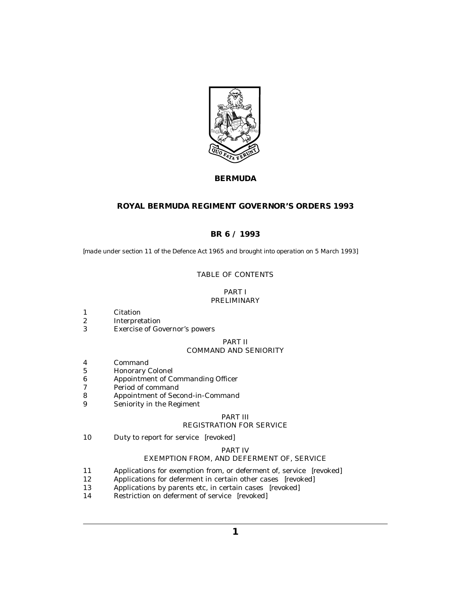

# **BERMUDA**

# **ROYAL BERMUDA REGIMENT GOVERNOR'S ORDERS 1993**

# **BR 6 / 1993**

*[made under section 11 of the Defence Act 1965 and brought into operation on 5 March 1993]*

# TABLE OF CONTENTS

# PART I [PRELIMINARY](#page-2-0)

- [Citation](#page-2-0) 1
- [Interpretation](#page-2-0) 2
- [Exercise of Governor's powers](#page-2-0) 3

# PART II [COMMAND AND SENIORITY](#page-2-0)

- [Command](#page-2-0) 4
- [Honorary Colonel](#page-2-0) 5
- [Appointment of Commanding Officer](#page-2-0) 6
- [Period of command](#page-3-0) 7
- [Appointment of Second-in-Command](#page-3-0) 8
- [Seniority in the Regiment](#page-3-0) 9

### PART III

# [REGISTRATION FOR SERVICE](#page-4-0)

[Duty to report for service](#page-4-0) *[revoked]* 10

### PART IV

# [EXEMPTION FROM, AND DEFERMENT OF, SERVICE](#page-4-0)

- [Applications for exemption from, or deferment of, service](#page-4-0) *[revoked]* 11
- [Applications for deferment in certain other cases](#page-4-0) *[revoked]* 12
- [Applications by parents etc, in certain cases](#page-4-0) *[revoked]* 13
- [Restriction on deferment of service](#page-4-0) *[revoked]* 14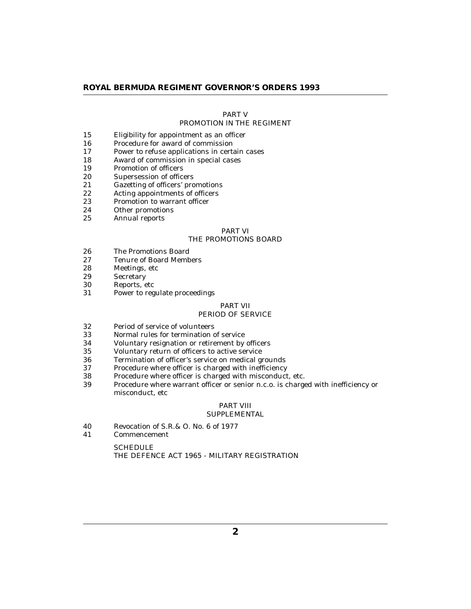# PART V

# [PROMOTION IN THE REGIMENT](#page-4-0)

- [Eligibility for appointment as an officer](#page-4-0) 15
- [Procedure for award of commission](#page-5-0) 16
- [Power to refuse applications in certain cases](#page-5-0) 17
- [Award of commission in special cases](#page-6-0) 18
- [Promotion of officers](#page-6-0) 19
- [Supersession of officers](#page-7-0) 20
- [Gazetting of officers' promotions](#page-7-0) 21
- [Acting appointments of officers](#page-7-0) 22
- [Promotion to warrant officer](#page-7-0) 23
- [Other promotions](#page-8-0) 24
- [Annual reports](#page-8-0) 25

### PART VI [THE PROMOTIONS BOARD](#page-8-0)

- [The Promotions Board](#page-8-0) 26
- [Tenure of Board Members](#page-8-0) 27
- [Meetings, etc](#page-8-0) 28
- **[Secretary](#page-9-0)** 29
- [Reports, etc](#page-9-0) 30
- [Power to regulate proceedings](#page-9-0) 31

# PART VII

# [PERIOD OF SERVICE](#page-9-0)

- [Period of service of volunteers](#page-9-0) 32
- [Normal rules for termination of service](#page-9-0) 33
- [Voluntary resignation or retirement by officers](#page-10-0) 34
- [Voluntary return of officers to active service](#page-11-0) 35
- [Termination of officer's service on medical grounds](#page-11-0) 36
- [Procedure where officer is charged with inefficiency](#page-12-0) 37
- [Procedure where officer is charged with misconduct, etc.](#page-12-0) 38
- [Procedure where warrant officer or senior n.c.o. is charged with inefficiency or](#page-13-0) misconduct, etc 39

# PART VIII

# **[SUPPLEMENTAL](#page-13-0)**

- [Revocation of S.R.& O. No. 6 of 1977](#page-13-0) 40
- [Commencement](#page-13-0) 41

**SCHEDULE** [THE DEFENCE ACT 1965 - MILITARY REGISTRATION](#page-14-0)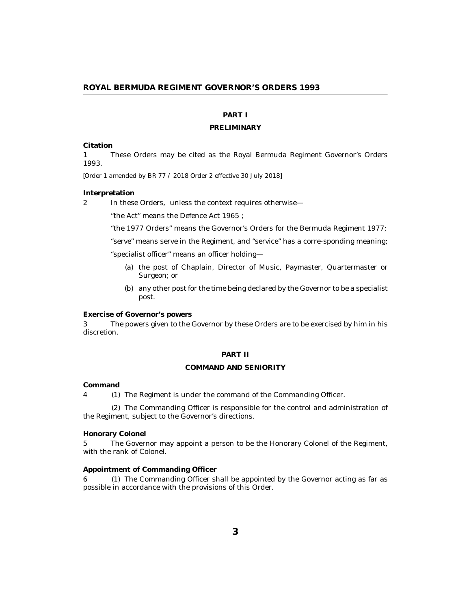# **PART I**

#### **PRELIMINARY**

### <span id="page-2-0"></span>**Citation**

These Orders may be cited as the Royal Bermuda Regiment Governor's Orders 1993. 1

*[Order 1 amended by BR 77 / 2018 Order 2 effective 30 July 2018]*

#### **Interpretation**

In these Orders, unless the context requires otherwise— 2

"the Act" means the Defence Act 1965 ;

"the 1977 Orders" means the Governor's Orders for the Bermuda Regiment 1977;

"serve" means serve in the Regiment, and "service" has a corre-sponding meaning; "specialist officer" means an officer holding—

- (a) the post of Chaplain, Director of Music, Paymaster, Quartermaster or Surgeon; or
- (b) any other post for the time being declared by the Governor to be a specialist post.

**Exercise of Governor's powers**

The powers given to the Governor by these Orders are to be exercised by him in his discretion. 3

#### **PART II**

### **COMMAND AND SENIORITY**

# **Command**

4 (1) The Regiment is under the command of the Commanding Officer.

(2) The Commanding Officer is responsible for the control and administration of the Regiment, subject to the Governor's directions.

### **Honorary Colonel**

The Governor may appoint a person to be the Honorary Colonel of the Regiment, with the rank of Colonel. 5

# **Appointment of Commanding Officer**

6 (1) The Commanding Officer shall be appointed by the Governor acting as far as possible in accordance with the provisions of this Order.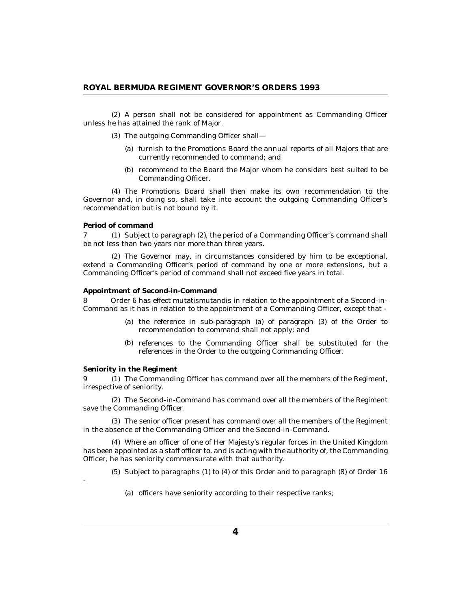<span id="page-3-0"></span>A person shall not be considered for appointment as Commanding Officer (2) unless he has attained the rank of Major.

- The outgoing Commanding Officer shall— (3)
	- (a) furnish to the Promotions Board the annual reports of all Majors that are currently recommended to command; and
	- (b) recommend to the Board the Major whom he considers best suited to be Commanding Officer.

The Promotions Board shall then make its own recommendation to the (4) Governor and, in doing so, shall take into account the outgoing Commanding Officer's recommendation but is not bound by it.

#### **Period of command**

7 (1) Subject to paragraph (2), the period of a Commanding Officer's command shall be not less than two years nor more than three years.

The Governor may, in circumstances considered by him to be exceptional, (2) extend a Commanding Officer's period of command by one or more extensions, but a Commanding Officer's period of command shall not exceed five years in total.

# **Appointment of Second-in-Command**

Order 6 has effect mutatismutandis in relation to the appointment of a Second-in-Command as it has in relation to the appointment of a Commanding Officer, except that - 8

- (a) the reference in sub-paragraph (a) of paragraph (3) of the Order to recommendation to command shall not apply; and
- (b) references to the Commanding Officer shall be substituted for the references in the Order to the outgoing Commanding Officer.

### **Seniority in the Regiment**

-

9 (1) The Commanding Officer has command over all the members of the Regiment, irrespective of seniority.

The Second-in-Command has command over all the members of the Regiment (2) save the Commanding Officer.

The senior officer present has command over all the members of the Regiment (3) in the absence of the Commanding Officer and the Second-in-Command.

Where an officer of one of Her Majesty's regular forces in the United Kingdom (4) has been appointed as a staff officer to, and is acting with the authority of, the Commanding Officer, he has seniority commensurate with that authority.

 $(5)$  Subject to paragraphs  $(1)$  to  $(4)$  of this Order and to paragraph  $(8)$  of Order 16

(a) officers have seniority according to their respective ranks;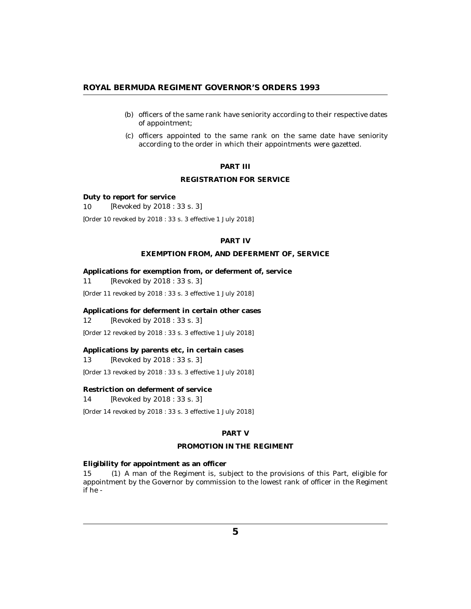- <span id="page-4-0"></span>(b) officers of the same rank have seniority according to their respective dates of appointment;
- (c) officers appointed to the same rank on the same date have seniority according to the order in which their appointments were gazetted.

# **PART III**

# **REGISTRATION FOR SERVICE**

**Duty to report for service**

*[Revoked by 2018 : 33 s. 3]* 10

*[Order 10 revoked by 2018 : 33 s. 3 effective 1 July 2018]*

# **PART IV**

# **EXEMPTION FROM, AND DEFERMENT OF, SERVICE**

**Applications for exemption from, or deferment of, service** *[Revoked by 2018 : 33 s. 3]* 11

*[Order 11 revoked by 2018 : 33 s. 3 effective 1 July 2018]*

**Applications for deferment in certain other cases** *[Revoked by 2018 : 33 s. 3]* 12

*[Order 12 revoked by 2018 : 33 s. 3 effective 1 July 2018]*

**Applications by parents etc, in certain cases** *[Revoked by 2018 : 33 s. 3]* 13

*[Order 13 revoked by 2018 : 33 s. 3 effective 1 July 2018]*

**Restriction on deferment of service**

*[Revoked by 2018 : 33 s. 3]* 14

*[Order 14 revoked by 2018 : 33 s. 3 effective 1 July 2018]*

# **PART V**

## **PROMOTION IN THE REGIMENT**

**Eligibility for appointment as an officer**

A man of the Regiment is, subject to the provisions of this Part, eligible for appointment by the Governor by commission to the lowest rank of officer in the Regiment if he - 15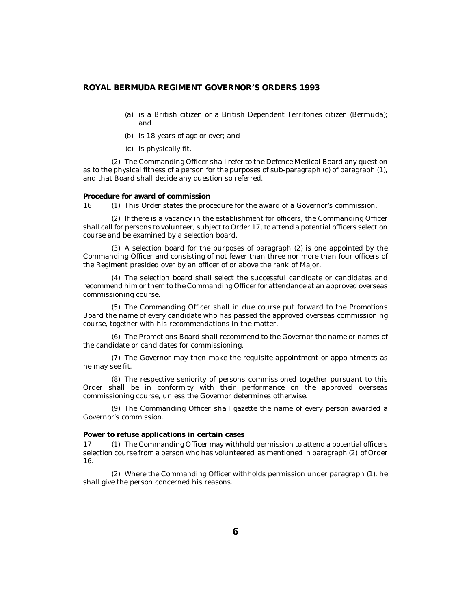- <span id="page-5-0"></span>is a British citizen or a British Dependent Territories citizen (Bermuda); (a) and
- (b) is 18 years of age or over; and
- (c) is physically fit.

The Commanding Officer shall refer to the Defence Medical Board any question (2) as to the physical fitness of a person for the purposes of sub-paragraph (c) of paragraph (1), and that Board shall decide any question so referred.

#### **Procedure for award of commission**

16 (1) This Order states the procedure for the award of a Governor's commission.

 $(2)$  If there is a vacancy in the establishment for officers, the Commanding Officer shall call for persons to volunteer, subject to Order 17, to attend a potential officers selection course and be examined by a selection board.

A selection board for the purposes of paragraph (2) is one appointed by the (3) Commanding Officer and consisting of not fewer than three nor more than four officers of the Regiment presided over by an officer of or above the rank of Major.

The selection board shall select the successful candidate or candidates and (4) recommend him or them to the Commanding Officer for attendance at an approved overseas commissioning course.

The Commanding Officer shall in due course put forward to the Promotions (5) Board the name of every candidate who has passed the approved overseas commissioning course, together with his recommendations in the matter.

The Promotions Board shall recommend to the Governor the name or names of (6) the candidate or candidates for commissioning.

(7) The Governor may then make the requisite appointment or appointments as he may see fit.

The respective seniority of persons commissioned together pursuant to this (8) Order shall be in conformity with their performance on the approved overseas commissioning course, unless the Governor determines otherwise.

The Commanding Officer shall gazette the name of every person awarded a (9) Governor's commission.

### **Power to refuse applications in certain cases**

The Commanding Officer may withhold permission to attend a potential officers selection course from a person who has volunteered as mentioned in paragraph (2) of Order 16. 17

Where the Commanding Officer withholds permission under paragraph (1), he (2) shall give the person concerned his reasons.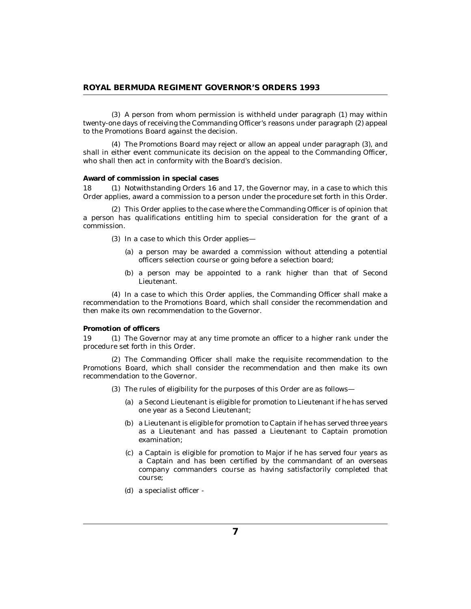<span id="page-6-0"></span>(3) A person from whom permission is withheld under paragraph (1) may within twenty-one days of receiving the Commanding Officer's reasons under paragraph (2) appeal to the Promotions Board against the decision.

The Promotions Board may reject or allow an appeal under paragraph (3), and (4) shall in either event communicate its decision on the appeal to the Commanding Officer, who shall then act in conformity with the Board's decision.

### **Award of commission in special cases**

18 (1) Notwithstanding Orders 16 and 17, the Governor may, in a case to which this Order applies, award a commission to a person under the procedure set forth in this Order.

This Order applies to the case where the Commanding Officer is of opinion that (2) a person has qualifications entitling him to special consideration for the grant of a commission.

- (3) In a case to which this Order applies—
	- (a) a person may be awarded a commission without attending a potential officers selection course or going before a selection board;
	- (b) a person may be appointed to a rank higher than that of Second Lieutenant.

(4) In a case to which this Order applies, the Commanding Officer shall make a recommendation to the Promotions Board, which shall consider the recommendation and then make its own recommendation to the Governor.

### **Promotion of officers**

19 (1) The Governor may at any time promote an officer to a higher rank under the procedure set forth in this Order.

(2) The Commanding Officer shall make the requisite recommendation to the Promotions Board, which shall consider the recommendation and then make its own recommendation to the Governor.

- (3) The rules of eligibility for the purposes of this Order are as follows
	- a Second Lieutenant is eligible for promotion to Lieutenant if he has served (a) one year as a Second Lieutenant;
	- a Lieutenant is eligible for promotion to Captain if he has served three years (b) as a Lieutenant and has passed a Lieutenant to Captain promotion examination;
	- a Captain is eligible for promotion to Major if he has served four years as (c) a Captain and has been certified by the commandant of an overseas company commanders course as having satisfactorily completed that course;
	- a specialist officer (d)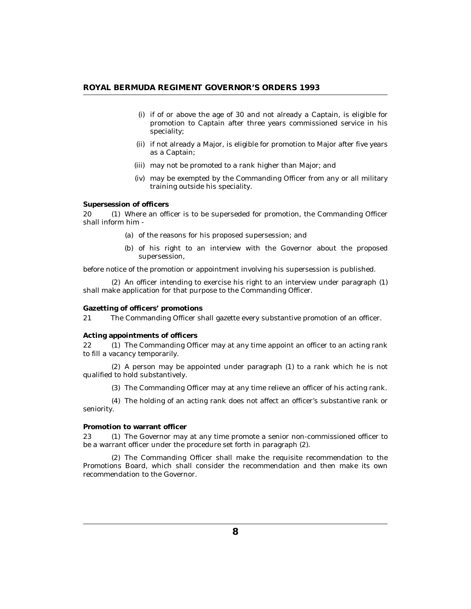- <span id="page-7-0"></span>if of or above the age of 30 and not already a Captain, is eligible for (i) promotion to Captain after three years commissioned service in his speciality;
- (ii) if not already a Major, is eligible for promotion to Major after five years as a Captain;
- may not be promoted to a rank higher than Major; and (iii)
- (iv) may be exempted by the Commanding Officer from any or all military training outside his speciality.

## **Supersession of officers**

20 (1) Where an officer is to be superseded for promotion, the Commanding Officer shall inform him -

- (a) of the reasons for his proposed supersession; and
- (b) of his right to an interview with the Governor about the proposed supersession,

before notice of the promotion or appointment involving his supersession is published.

 $(2)$  An officer intending to exercise his right to an interview under paragraph  $(1)$ shall make application for that purpose to the Commanding Officer.

#### **Gazetting of officers' promotions**

The Commanding Officer shall gazette every substantive promotion of an officer. 21

### **Acting appointments of officers**

The Commanding Officer may at any time appoint an officer to an acting rank to fill a vacancy temporarily.  $22<sub>2</sub>$ 

 $(2)$  A person may be appointed under paragraph  $(1)$  to a rank which he is not qualified to hold substantively.

The Commanding Officer may at any time relieve an officer of his acting rank. (3)

The holding of an acting rank does not affect an officer's substantive rank or (4) seniority.

### **Promotion to warrant officer**

23 (1) The Governor may at any time promote a senior non-commissioned officer to be a warrant officer under the procedure set forth in paragraph (2).

(2) The Commanding Officer shall make the requisite recommendation to the Promotions Board, which shall consider the recommendation and then make its own recommendation to the Governor.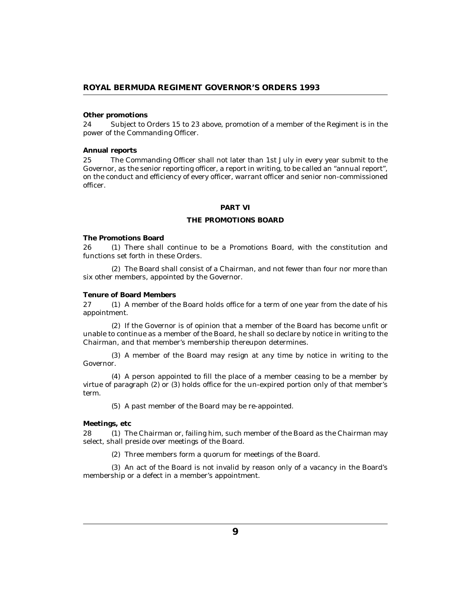### <span id="page-8-0"></span>**Other promotions**

Subject to Orders 15 to 23 above, promotion of a member of the Regiment is in the power of the Commanding Officer. 24

#### **Annual reports**

The Commanding Officer shall not later than 1st July in every year submit to the Governor, as the senior reporting officer, a report in writing, to be called an "annual report", on the conduct and efficiency of every officer, warrant officer and senior non-commissioned officer. 25

# **PART VI**

## **THE PROMOTIONS BOARD**

#### **The Promotions Board**

There shall continue to be a Promotions Board, with the constitution and functions set forth in these Orders. 26

The Board shall consist of a Chairman, and not fewer than four nor more than (2) six other members, appointed by the Governor.

### **Tenure of Board Members**

27 (1) A member of the Board holds office for a term of one year from the date of his appointment.

 $(2)$  If the Governor is of opinion that a member of the Board has become unfit or unable to continue as a member of the Board, he shall so declare by notice in writing to the Chairman, and that member's membership thereupon determines.

A member of the Board may resign at any time by notice in writing to the (3) Governor.

A person appointed to fill the place of a member ceasing to be a member by (4) virtue of paragraph (2) or (3) holds office for the un-expired portion only of that member's term.

(5) A past member of the Board may be re-appointed.

#### **Meetings, etc**

28 (1) The Chairman or, failing him, such member of the Board as the Chairman may select, shall preside over meetings of the Board.

(2) Three members form a quorum for meetings of the Board.

(3) An act of the Board is not invalid by reason only of a vacancy in the Board's membership or a defect in a member's appointment.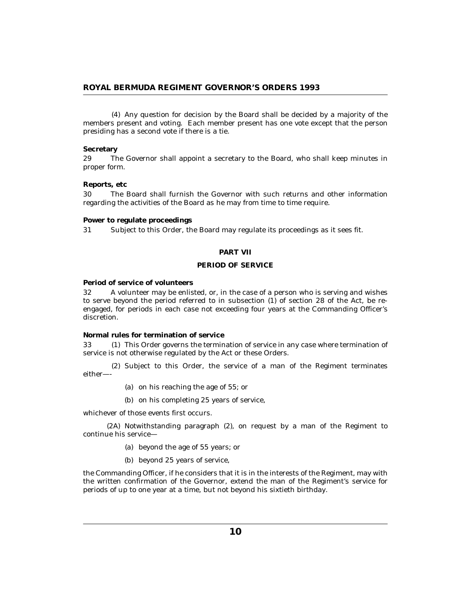<span id="page-9-0"></span>Any question for decision by the Board shall be decided by a majority of the (4) members present and voting. Each member present has one vote except that the person presiding has a second vote if there is a tie.

### **Secretary**

The Governor shall appoint a secretary to the Board, who shall keep minutes in proper form. 29

### **Reports, etc**

The Board shall furnish the Governor with such returns and other information regarding the activities of the Board as he may from time to time require. 30

**Power to regulate proceedings**

Subject to this Order, the Board may regulate its proceedings as it sees fit. 31

### **PART VII**

# **PERIOD OF SERVICE**

**Period of service of volunteers**

A volunteer may be enlisted, or, in the case of a person who is serving and wishes to serve beyond the period referred to in subsection (1) of section 28 of the Act, be reengaged, for periods in each case not exceeding four years at the Commanding Officer's discretion. 32

**Normal rules for termination of service**

This Order governs the termination of service in any case where termination of service is not otherwise regulated by the Act or these Orders. 33

(2) Subject to this Order, the service of a man of the Regiment terminates either—-

- (a) on his reaching the age of  $55$ ; or
- (b) on his completing 25 years of service,

whichever of those events first occurs.

(2A) Notwithstanding paragraph (2), on request by a man of the Regiment to continue his service—

- beyond the age of 55 years; or (a)
- (b) beyond 25 years of service,

the Commanding Officer, if he considers that it is in the interests of the Regiment, may with the written confirmation of the Governor, extend the man of the Regiment's service for periods of up to one year at a time, but not beyond his sixtieth birthday.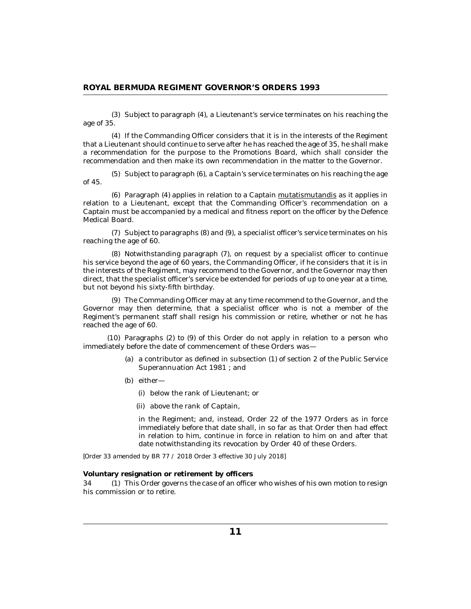<span id="page-10-0"></span>(3) Subject to paragraph (4), a Lieutenant's service terminates on his reaching the age of 35.

If the Commanding Officer considers that it is in the interests of the Regiment (4) that a Lieutenant should continue to serve after he has reached the age of 35, he shall make a recommendation for the purpose to the Promotions Board, which shall consider the recommendation and then make its own recommendation in the matter to the Governor.

(5) Subject to paragraph (6), a Captain's service terminates on his reaching the age of 45.

(6) Paragraph (4) applies in relation to a Captain mutatismutandis as it applies in relation to a Lieutenant, except that the Commanding Officer's recommendation on a Captain must be accompanied by a medical and fitness report on the officer by the Defence Medical Board.

(7) Subject to paragraphs (8) and (9), a specialist officer's service terminates on his reaching the age of 60.

(8) Notwithstanding paragraph (7), on request by a specialist officer to continue his service beyond the age of 60 years, the Commanding Officer, if he considers that it is in the interests of the Regiment, may recommend to the Governor, and the Governor may then direct, that the specialist officer's service be extended for periods of up to one year at a time, but not beyond his sixty-fifth birthday.

The Commanding Officer may at any time recommend to the Governor, and the (9) Governor may then determine, that a specialist officer who is not a member of the Regiment's permanent staff shall resign his commission or retire, whether or not he has reached the age of 60.

 $(10)$  Paragraphs  $(2)$  to  $(9)$  of this Order do not apply in relation to a person who immediately before the date of commencement of these Orders was—

- (a) a contributor as defined in subsection  $(1)$  of section 2 of the Public Service Superannuation Act 1981 ; and
- (b) either
	- below the rank of Lieutenant; or (i)
	- above the rank of Captain, (ii)

in the Regiment; and, instead, Order 22 of the 1977 Orders as in force immediately before that date shall, in so far as that Order then had effect in relation to him, continue in force in relation to him on and after that date notwithstanding its revocation by Order 40 of these Orders.

*[Order 33 amended by BR 77 / 2018 Order 3 effective 30 July 2018]*

**Voluntary resignation or retirement by officers**

This Order governs the case of an officer who wishes of his own motion to resign his commission or to retire. 34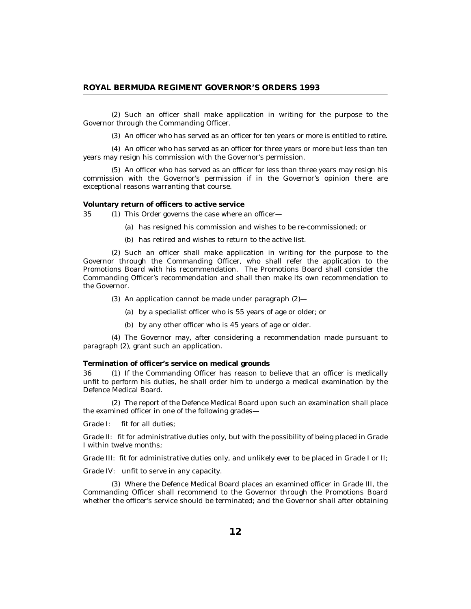<span id="page-11-0"></span>(2) Such an officer shall make application in writing for the purpose to the Governor through the Commanding Officer.

(3) An officer who has served as an officer for ten years or more is entitled to retire.

(4) An officer who has served as an officer for three years or more but less than ten years may resign his commission with the Governor's permission.

(5) An officer who has served as an officer for less than three years may resign his commission with the Governor's permission if in the Governor's opinion there are exceptional reasons warranting that course.

**Voluntary return of officers to active service**

35 (1) This Order governs the case where an officer—

- (a) has resigned his commission and wishes to be re-commissioned; or
- (b) has retired and wishes to return to the active list.

(2) Such an officer shall make application in writing for the purpose to the Governor through the Commanding Officer, who shall refer the application to the Promotions Board with his recommendation. The Promotions Board shall consider the Commanding Officer's recommendation and shall then make its own recommendation to the Governor.

- $(3)$  An application cannot be made under paragraph  $(2)$ 
	- by a specialist officer who is 55 years of age or older; or (a)
	- by any other officer who is 45 years of age or older. (b)

The Governor may, after considering a recommendation made pursuant to (4) paragraph (2), grant such an application.

**Termination of officer's service on medical grounds**

36 (1) If the Commanding Officer has reason to believe that an officer is medically unfit to perform his duties, he shall order him to undergo a medical examination by the Defence Medical Board.

The report of the Defence Medical Board upon such an examination shall place (2) the examined officer in one of the following grades—

Grade I: fit for all duties;

Grade II: fit for administrative duties only, but with the possibility of being placed in Grade I within twelve months;

Grade III: fit for administrative duties only, and unlikely ever to be placed in Grade I or II;

Grade IV: unfit to serve in any capacity.

Where the Defence Medical Board places an examined officer in Grade III, the (3) Commanding Officer shall recommend to the Governor through the Promotions Board whether the officer's service should be terminated; and the Governor shall after obtaining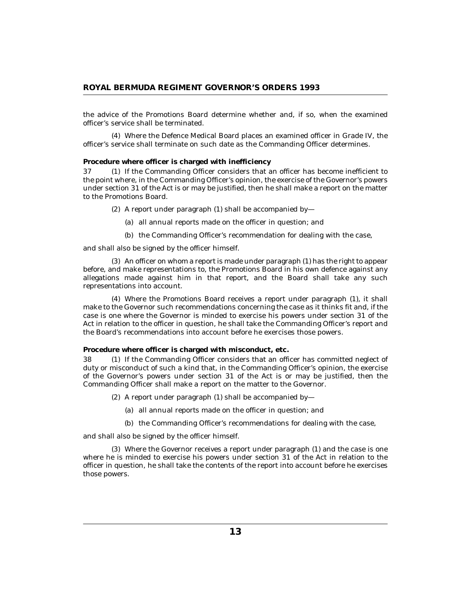<span id="page-12-0"></span>the advice of the Promotions Board determine whether and, if so, when the examined officer's service shall be terminated.

Where the Defence Medical Board places an examined officer in Grade IV, the (4) officer's service shall terminate on such date as the Commanding Officer determines.

**Procedure where officer is charged with inefficiency**

37 (1) If the Commanding Officer considers that an officer has become inefficient to the point where, in the Commanding Officer's opinion, the exercise of the Governor's powers under section 31 of the Act is or may be justified, then he shall make a report on the matter to the Promotions Board.

(2) A report under paragraph  $(1)$  shall be accompanied by-

- all annual reports made on the officer in question; and (a)
- (b) the Commanding Officer's recommendation for dealing with the case,

and shall also be signed by the officer himself.

An officer on whom a report is made under paragraph (1) has the right to appear (3) before, and make representations to, the Promotions Board in his own defence against any allegations made against him in that report, and the Board shall take any such representations into account.

Where the Promotions Board receives a report under paragraph (1), it shall (4) make to the Governor such recommendations concerning the case as it thinks fit and, if the case is one where the Governor is minded to exercise his powers under section 31 of the Act in relation to the officer in question, he shall take the Commanding Officer's report and the Board's recommendations into account before he exercises those powers.

**Procedure where officer is charged with misconduct, etc.**

38 (1) If the Commanding Officer considers that an officer has committed neglect of duty or misconduct of such a kind that, in the Commanding Officer's opinion, the exercise of the Governor's powers under section 31 of the Act is or may be justified, then the Commanding Officer shall make a report on the matter to the Governor.

- (2) A report under paragraph  $(1)$  shall be accompanied by
	- all annual reports made on the officer in question; and (a)
	- (b) the Commanding Officer's recommendations for dealing with the case,

and shall also be signed by the officer himself.

Where the Governor receives a report under paragraph (1) and the case is one (3) where he is minded to exercise his powers under section 31 of the Act in relation to the officer in question, he shall take the contents of the report into account before he exercises those powers.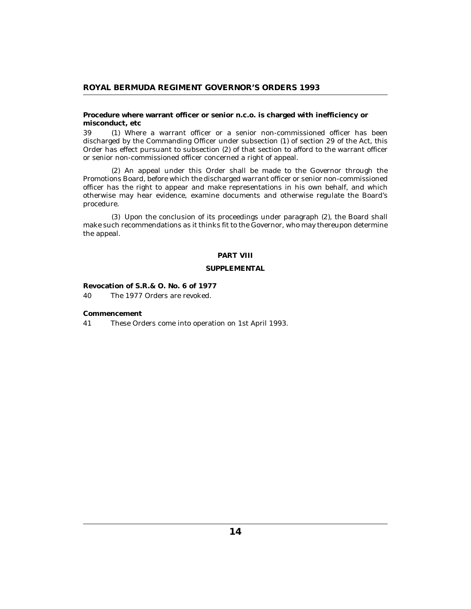<span id="page-13-0"></span>**Procedure where warrant officer or senior n.c.o. is charged with inefficiency or misconduct, etc**

Where a warrant officer or a senior non-commissioned officer has been 39 (1) discharged by the Commanding Officer under subsection (1) of section 29 of the Act, this Order has effect pursuant to subsection (2) of that section to afford to the warrant officer or senior non-commissioned officer concerned a right of appeal.

(2) An appeal under this Order shall be made to the Governor through the Promotions Board, before which the discharged warrant officer or senior non-commissioned officer has the right to appear and make representations in his own behalf, and which otherwise may hear evidence, examine documents and otherwise regulate the Board's procedure.

Upon the conclusion of its proceedings under paragraph (2), the Board shall (3) make such recommendations as it thinks fit to the Governor, who may thereupon determine the appeal.

# **PART VIII**

# **SUPPLEMENTAL**

**Revocation of S.R.& O. No. 6 of 1977** The 1977 Orders are revoked. 40

**Commencement**

These Orders come into operation on 1st April 1993. 41